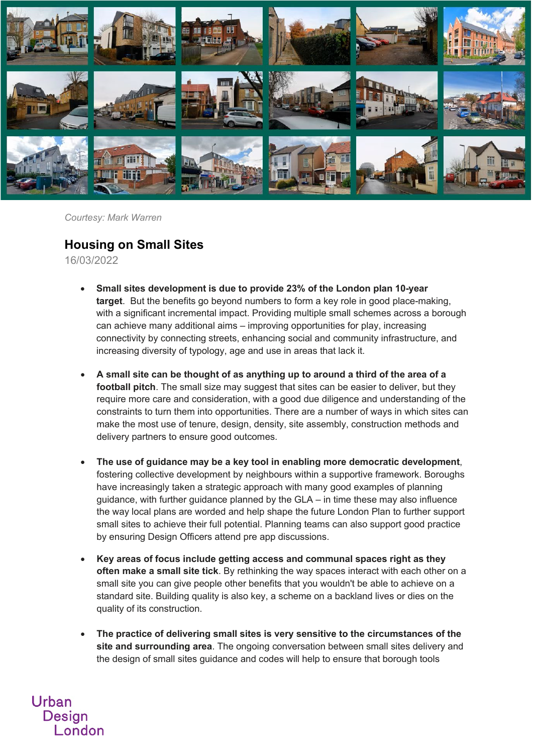

*Courtesy: Mark Warren*

## **Housing on Small Sites**

16/03/2022

- **Small sites development is due to provide 23% of the London plan 10-year target**. But the benefits go beyond numbers to form a key role in good place-making, with a significant incremental impact. Providing multiple small schemes across a borough can achieve many additional aims – improving opportunities for play, increasing connectivity by connecting streets, enhancing social and community infrastructure, and increasing diversity of typology, age and use in areas that lack it.
- **A small site can be thought of as anything up to around a third of the area of a football pitch**. The small size may suggest that sites can be easier to deliver, but they require more care and consideration, with a good due diligence and understanding of the constraints to turn them into opportunities. There are a number of ways in which sites can make the most use of tenure, design, density, site assembly, construction methods and delivery partners to ensure good outcomes.
- **The use of guidance may be a key tool in enabling more democratic development**, fostering collective development by neighbours within a supportive framework. Boroughs have increasingly taken a strategic approach with many good examples of planning guidance, with further guidance planned by the GLA – in time these may also influence the way local plans are worded and help shape the future London Plan to further support small sites to achieve their full potential. Planning teams can also support good practice by ensuring Design Officers attend pre app discussions.
- **Key areas of focus include getting access and communal spaces right as they often make a small site tick**. By rethinking the way spaces interact with each other on a small site you can give people other benefits that you wouldn't be able to achieve on a standard site. Building quality is also key, a scheme on a backland lives or dies on the quality of its construction.
- **The practice of delivering small sites is very sensitive to the circumstances of the site and surrounding area**. The ongoing conversation between small sites delivery and the design of small sites guidance and codes will help to ensure that borough tools

Urban **Design** London